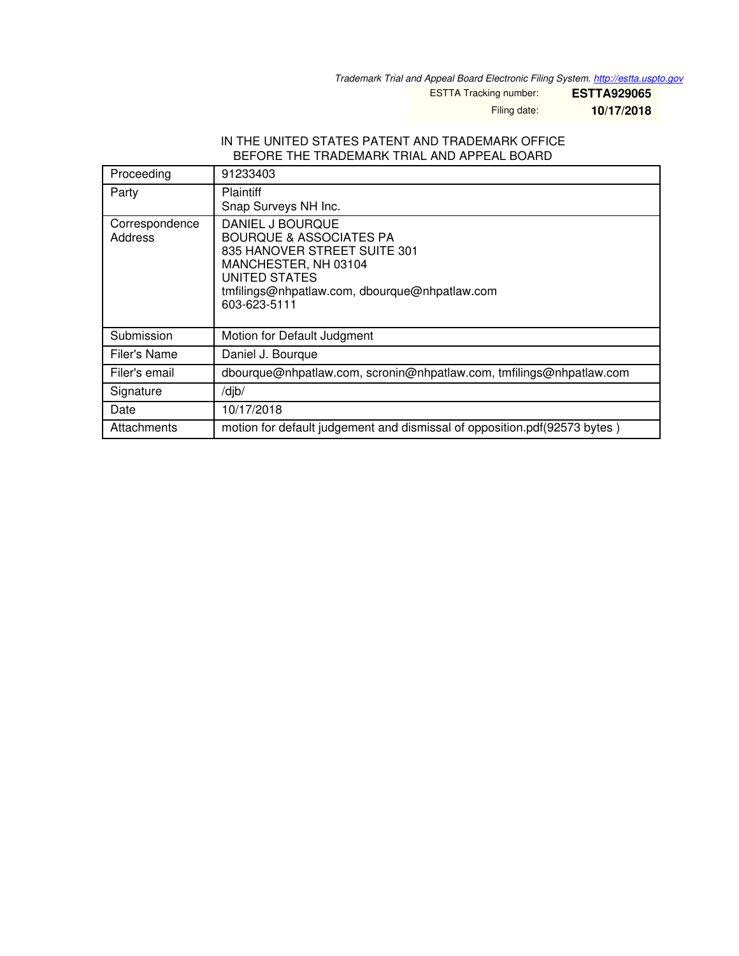*Trademark Trial and Appeal Board Electronic Filing System. <http://estta.uspto.gov>*

ESTTA Tracking number: **ESTTA929065**

Filing date: **10/17/2018**

#### IN THE UNITED STATES PATENT AND TRADEMARK OFFICE BEFORE THE TRADEMARK TRIAL AND APPEAL BOARD

| Proceeding                | 91233403                                                                                                                                                                                         |
|---------------------------|--------------------------------------------------------------------------------------------------------------------------------------------------------------------------------------------------|
| Party                     | <b>Plaintiff</b><br>Snap Surveys NH Inc.                                                                                                                                                         |
| Correspondence<br>Address | DANIEL J BOURQUE<br><b>BOURQUE &amp; ASSOCIATES PA</b><br>835 HANOVER STREET SUITE 301<br>MANCHESTER, NH 03104<br>UNITED STATES<br>tmfilings@nhpatlaw.com, dbourque@nhpatlaw.com<br>603-623-5111 |
| Submission                | Motion for Default Judgment                                                                                                                                                                      |
| Filer's Name              | Daniel J. Bourque                                                                                                                                                                                |
| Filer's email             | dbourque@nhpatlaw.com, scronin@nhpatlaw.com, tmfilings@nhpatlaw.com                                                                                                                              |
| Signature                 | /dib/                                                                                                                                                                                            |
| Date                      | 10/17/2018                                                                                                                                                                                       |
| Attachments               | motion for default judgement and dismissal of opposition.pdf(92573 bytes)                                                                                                                        |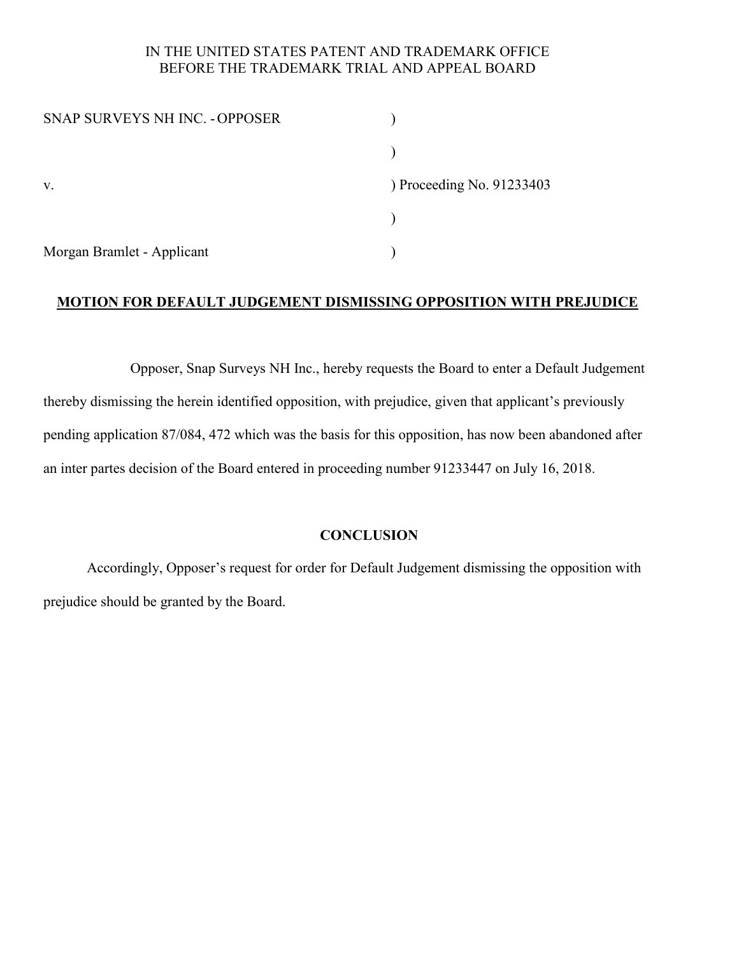## IN THE UNITED STATES PATENT AND TRADEMARK OFFICE BEFORE THE TRADEMARK TRIAL AND APPEAL BOARD

| SNAP SURVEYS NH INC. - OPPOSER |                           |
|--------------------------------|---------------------------|
|                                |                           |
| V.                             | ) Proceeding No. 91233403 |
|                                |                           |
| Morgan Bramlet - Applicant     |                           |

# **MOTION FOR DEFAULT JUDGEMENT DISMISSING OPPOSITION WITH PREJUDICE**

 Opposer, Snap Surveys NH Inc., hereby requests the Board to enter a Default Judgement thereby dismissing the herein identified opposition, with prejudice, given that applicant's previously pending application 87/084, 472 which was the basis for this opposition, has now been abandoned after an inter partes decision of the Board entered in proceeding number 91233447 on July 16, 2018.

## **CONCLUSION**

Accordingly, Opposer's request for order for Default Judgement dismissing the opposition with prejudice should be granted by the Board.